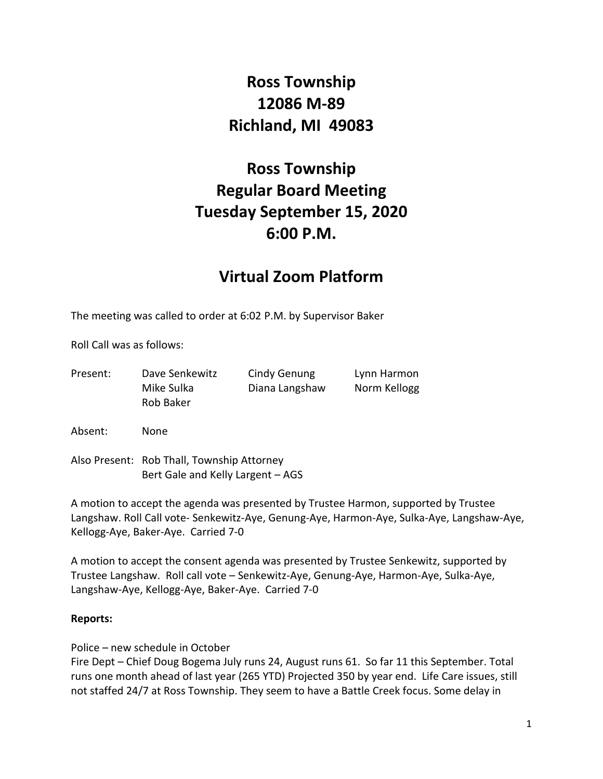# **Ross Township 12086 M-89 Richland, MI 49083**

# **Ross Township Regular Board Meeting Tuesday September 15, 2020 6:00 P.M.**

## **Virtual Zoom Platform**

The meeting was called to order at 6:02 P.M. by Supervisor Baker

Roll Call was as follows:

| Present: | Dave Senkewitz | Cindy Genung   | Lynn Harmon  |
|----------|----------------|----------------|--------------|
|          | Mike Sulka     | Diana Langshaw | Norm Kellogg |
|          | Rob Baker      |                |              |
|          |                |                |              |

Absent: None

Also Present: Rob Thall, Township Attorney Bert Gale and Kelly Largent – AGS

A motion to accept the agenda was presented by Trustee Harmon, supported by Trustee Langshaw. Roll Call vote- Senkewitz-Aye, Genung-Aye, Harmon-Aye, Sulka-Aye, Langshaw-Aye, Kellogg-Aye, Baker-Aye. Carried 7-0

A motion to accept the consent agenda was presented by Trustee Senkewitz, supported by Trustee Langshaw. Roll call vote – Senkewitz-Aye, Genung-Aye, Harmon-Aye, Sulka-Aye, Langshaw-Aye, Kellogg-Aye, Baker-Aye. Carried 7-0

#### **Reports:**

Police – new schedule in October

Fire Dept – Chief Doug Bogema July runs 24, August runs 61. So far 11 this September. Total runs one month ahead of last year (265 YTD) Projected 350 by year end. Life Care issues, still not staffed 24/7 at Ross Township. They seem to have a Battle Creek focus. Some delay in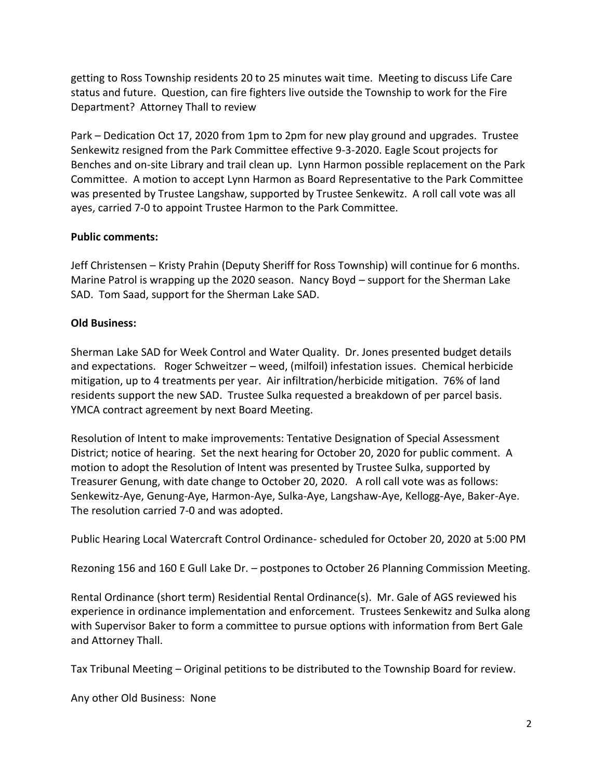getting to Ross Township residents 20 to 25 minutes wait time. Meeting to discuss Life Care status and future. Question, can fire fighters live outside the Township to work for the Fire Department? Attorney Thall to review

Park – Dedication Oct 17, 2020 from 1pm to 2pm for new play ground and upgrades. Trustee Senkewitz resigned from the Park Committee effective 9-3-2020. Eagle Scout projects for Benches and on-site Library and trail clean up. Lynn Harmon possible replacement on the Park Committee. A motion to accept Lynn Harmon as Board Representative to the Park Committee was presented by Trustee Langshaw, supported by Trustee Senkewitz. A roll call vote was all ayes, carried 7-0 to appoint Trustee Harmon to the Park Committee.

### **Public comments:**

Jeff Christensen – Kristy Prahin (Deputy Sheriff for Ross Township) will continue for 6 months. Marine Patrol is wrapping up the 2020 season. Nancy Boyd – support for the Sherman Lake SAD. Tom Saad, support for the Sherman Lake SAD.

### **Old Business:**

Sherman Lake SAD for Week Control and Water Quality. Dr. Jones presented budget details and expectations. Roger Schweitzer – weed, (milfoil) infestation issues. Chemical herbicide mitigation, up to 4 treatments per year. Air infiltration/herbicide mitigation. 76% of land residents support the new SAD. Trustee Sulka requested a breakdown of per parcel basis. YMCA contract agreement by next Board Meeting.

Resolution of Intent to make improvements: Tentative Designation of Special Assessment District; notice of hearing. Set the next hearing for October 20, 2020 for public comment. A motion to adopt the Resolution of Intent was presented by Trustee Sulka, supported by Treasurer Genung, with date change to October 20, 2020. A roll call vote was as follows: Senkewitz-Aye, Genung-Aye, Harmon-Aye, Sulka-Aye, Langshaw-Aye, Kellogg-Aye, Baker-Aye. The resolution carried 7-0 and was adopted.

Public Hearing Local Watercraft Control Ordinance- scheduled for October 20, 2020 at 5:00 PM

Rezoning 156 and 160 E Gull Lake Dr. – postpones to October 26 Planning Commission Meeting.

Rental Ordinance (short term) Residential Rental Ordinance(s). Mr. Gale of AGS reviewed his experience in ordinance implementation and enforcement. Trustees Senkewitz and Sulka along with Supervisor Baker to form a committee to pursue options with information from Bert Gale and Attorney Thall.

Tax Tribunal Meeting – Original petitions to be distributed to the Township Board for review.

Any other Old Business: None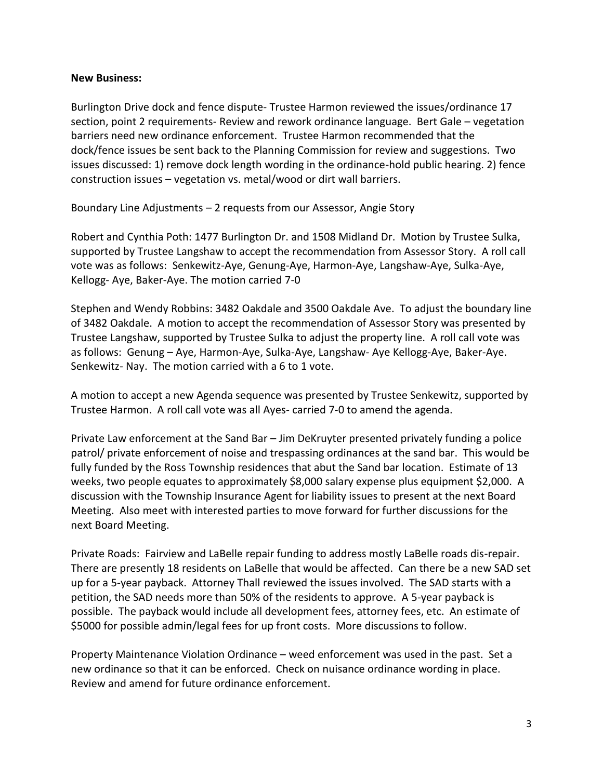#### **New Business:**

Burlington Drive dock and fence dispute- Trustee Harmon reviewed the issues/ordinance 17 section, point 2 requirements- Review and rework ordinance language. Bert Gale – vegetation barriers need new ordinance enforcement. Trustee Harmon recommended that the dock/fence issues be sent back to the Planning Commission for review and suggestions. Two issues discussed: 1) remove dock length wording in the ordinance-hold public hearing. 2) fence construction issues – vegetation vs. metal/wood or dirt wall barriers.

Boundary Line Adjustments – 2 requests from our Assessor, Angie Story

Robert and Cynthia Poth: 1477 Burlington Dr. and 1508 Midland Dr. Motion by Trustee Sulka, supported by Trustee Langshaw to accept the recommendation from Assessor Story. A roll call vote was as follows: Senkewitz-Aye, Genung-Aye, Harmon-Aye, Langshaw-Aye, Sulka-Aye, Kellogg- Aye, Baker-Aye. The motion carried 7-0

Stephen and Wendy Robbins: 3482 Oakdale and 3500 Oakdale Ave. To adjust the boundary line of 3482 Oakdale. A motion to accept the recommendation of Assessor Story was presented by Trustee Langshaw, supported by Trustee Sulka to adjust the property line. A roll call vote was as follows: Genung – Aye, Harmon-Aye, Sulka-Aye, Langshaw- Aye Kellogg-Aye, Baker-Aye. Senkewitz- Nay. The motion carried with a 6 to 1 vote.

A motion to accept a new Agenda sequence was presented by Trustee Senkewitz, supported by Trustee Harmon. A roll call vote was all Ayes- carried 7-0 to amend the agenda.

Private Law enforcement at the Sand Bar – Jim DeKruyter presented privately funding a police patrol/ private enforcement of noise and trespassing ordinances at the sand bar. This would be fully funded by the Ross Township residences that abut the Sand bar location. Estimate of 13 weeks, two people equates to approximately \$8,000 salary expense plus equipment \$2,000. A discussion with the Township Insurance Agent for liability issues to present at the next Board Meeting. Also meet with interested parties to move forward for further discussions for the next Board Meeting.

Private Roads: Fairview and LaBelle repair funding to address mostly LaBelle roads dis-repair. There are presently 18 residents on LaBelle that would be affected. Can there be a new SAD set up for a 5-year payback. Attorney Thall reviewed the issues involved. The SAD starts with a petition, the SAD needs more than 50% of the residents to approve. A 5-year payback is possible. The payback would include all development fees, attorney fees, etc. An estimate of \$5000 for possible admin/legal fees for up front costs. More discussions to follow.

Property Maintenance Violation Ordinance – weed enforcement was used in the past. Set a new ordinance so that it can be enforced. Check on nuisance ordinance wording in place. Review and amend for future ordinance enforcement.